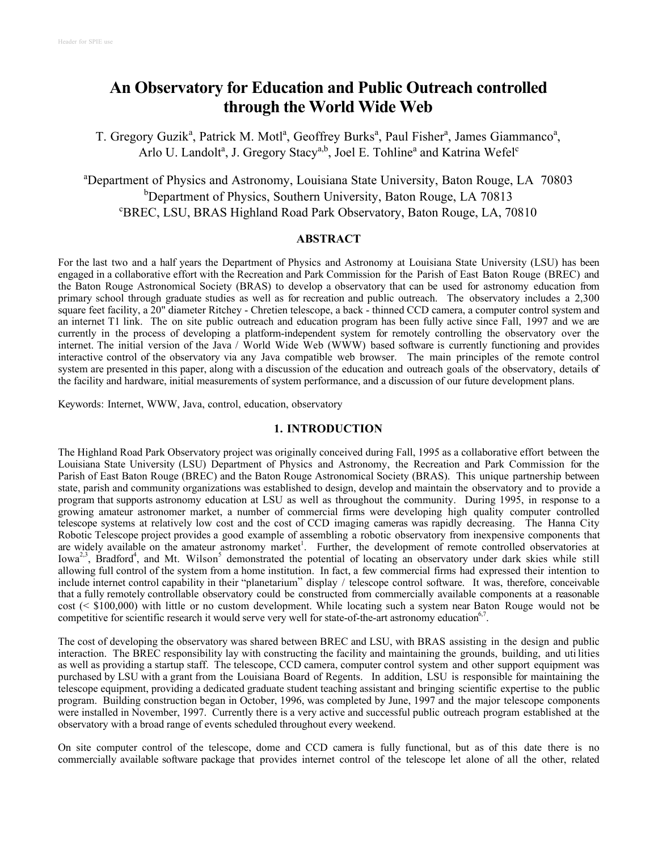# **An Observatory for Education and Public Outreach controlled through the World Wide Web**

T. Gregory Guzik<sup>a</sup>, Patrick M. Motl<sup>a</sup>, Geoffrey Burks<sup>a</sup>, Paul Fisher<sup>a</sup>, James Giammanco<sup>a</sup>, Arlo U. Landolt<sup>a</sup>, J. Gregory Stacy<sup>a,b</sup>, Joel E. Tohline<sup>a</sup> and Katrina Wefel<sup>c</sup>

<sup>a</sup>Department of Physics and Astronomy, Louisiana State University, Baton Rouge, LA 70803 <sup>b</sup>Department of Physics, Southern University, Baton Rouge, LA 70813 c BREC, LSU, BRAS Highland Road Park Observatory, Baton Rouge, LA, 70810

#### **ABSTRACT**

For the last two and a half years the Department of Physics and Astronomy at Louisiana State University (LSU) has been engaged in a collaborative effort with the Recreation and Park Commission for the Parish of East Baton Rouge (BREC) and the Baton Rouge Astronomical Society (BRAS) to develop a observatory that can be used for astronomy education from primary school through graduate studies as well as for recreation and public outreach. The observatory includes a 2,300 square feet facility, a 20" diameter Ritchey - Chretien telescope, a back - thinned CCD camera, a computer control system and an internet T1 link. The on site public outreach and education program has been fully active since Fall, 1997 and we are currently in the process of developing a platform-independent system for remotely controlling the observatory over the internet. The initial version of the Java / World Wide Web (WWW) based software is currently functioning and provides interactive control of the observatory via any Java compatible web browser. The main principles of the remote control system are presented in this paper, along with a discussion of the education and outreach goals of the observatory, details of the facility and hardware, initial measurements of system performance, and a discussion of our future development plans.

Keywords: Internet, WWW, Java, control, education, observatory

#### **1. INTRODUCTION**

The Highland Road Park Observatory project was originally conceived during Fall, 1995 as a collaborative effort between the Louisiana State University (LSU) Department of Physics and Astronomy, the Recreation and Park Commission for the Parish of East Baton Rouge (BREC) and the Baton Rouge Astronomical Society (BRAS). This unique partnership between state, parish and community organizations was established to design, develop and maintain the observatory and to provide a program that supports astronomy education at LSU as well as throughout the community. During 1995, in response to a growing amateur astronomer market, a number of commercial firms were developing high quality computer controlled telescope systems at relatively low cost and the cost of CCD imaging cameras was rapidly decreasing. The Hanna City Robotic Telescope project provides a good example of assembling a robotic observatory from inexpensive components that are widely available on the amateur astronomy market<sup>1</sup>. Further, the development of remote controlled observatories at Iowa<sup>2,3</sup>, Bradford<sup>4</sup>, and Mt. Wilson<sup>5</sup> demonstrated the potential of locating an observatory under dark skies while still allowing full control of the system from a home institution. In fact, a few commercial firms had expressed their intention to include internet control capability in their "planetarium" display / telescope control software. It was, therefore, conceivable that a fully remotely controllable observatory could be constructed from commercially available components at a reasonable cost (< \$100,000) with little or no custom development. While locating such a system near Baton Rouge would not be competitive for scientific research it would serve very well for state-of-the-art astronomy education<sup>6,7</sup>.

The cost of developing the observatory was shared between BREC and LSU, with BRAS assisting in the design and public interaction. The BREC responsibility lay with constructing the facility and maintaining the grounds, building, and uti lities as well as providing a startup staff. The telescope, CCD camera, computer control system and other support equipment was purchased by LSU with a grant from the Louisiana Board of Regents. In addition, LSU is responsible for maintaining the telescope equipment, providing a dedicated graduate student teaching assistant and bringing scientific expertise to the public program. Building construction began in October, 1996, was completed by June, 1997 and the major telescope components were installed in November, 1997. Currently there is a very active and successful public outreach program established at the observatory with a broad range of events scheduled throughout every weekend.

On site computer control of the telescope, dome and CCD camera is fully functional, but as of this date there is no commercially available software package that provides internet control of the telescope let alone of all the other, related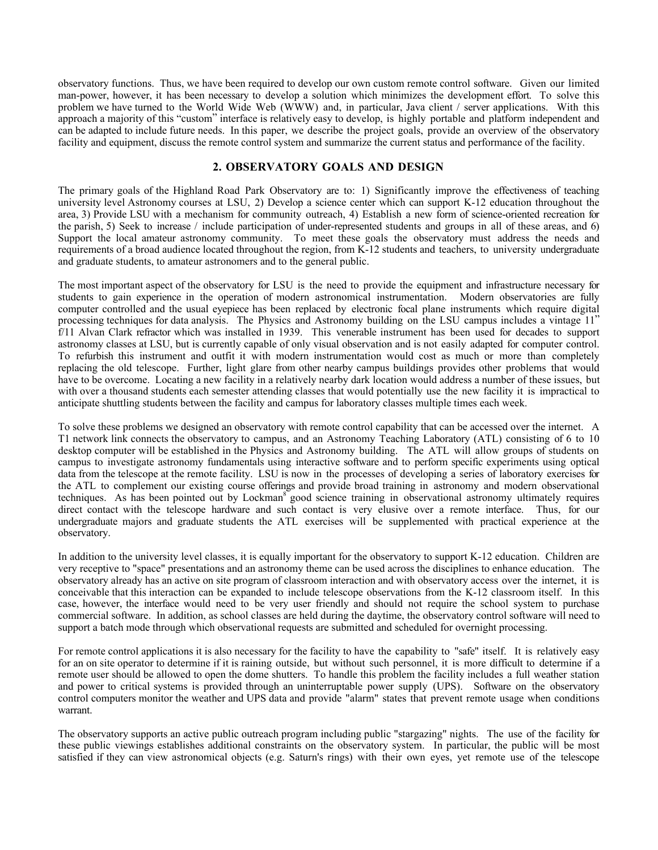observatory functions. Thus, we have been required to develop our own custom remote control software. Given our limited man-power, however, it has been necessary to develop a solution which minimizes the development effort. To solve this problem we have turned to the World Wide Web (WWW) and, in particular, Java client / server applications. With this approach a majority of this "custom" interface is relatively easy to develop, is highly portable and platform independent and can be adapted to include future needs. In this paper, we describe the project goals, provide an overview of the observatory facility and equipment, discuss the remote control system and summarize the current status and performance of the facility.

# **2. OBSERVATORY GOALS AND DESIGN**

The primary goals of the Highland Road Park Observatory are to: 1) Significantly improve the effectiveness of teaching university level Astronomy courses at LSU, 2) Develop a science center which can support K-12 education throughout the area, 3) Provide LSU with a mechanism for community outreach, 4) Establish a new form of science-oriented recreation for the parish, 5) Seek to increase / include participation of under-represented students and groups in all of these areas, and 6) Support the local amateur astronomy community. To meet these goals the observatory must address the needs and requirements of a broad audience located throughout the region, from K-12 students and teachers, to university undergraduate and graduate students, to amateur astronomers and to the general public.

The most important aspect of the observatory for LSU is the need to provide the equipment and infrastructure necessary for students to gain experience in the operation of modern astronomical instrumentation. Modern observatories are fully computer controlled and the usual eyepiece has been replaced by electronic focal plane instruments which require digital processing techniques for data analysis. The Physics and Astronomy building on the LSU campus includes a vintage 11" f/11 Alvan Clark refractor which was installed in 1939. This venerable instrument has been used for decades to support astronomy classes at LSU, but is currently capable of only visual observation and is not easily adapted for computer control. To refurbish this instrument and outfit it with modern instrumentation would cost as much or more than completely replacing the old telescope. Further, light glare from other nearby campus buildings provides other problems that would have to be overcome. Locating a new facility in a relatively nearby dark location would address a number of these issues, but with over a thousand students each semester attending classes that would potentially use the new facility it is impractical to anticipate shuttling students between the facility and campus for laboratory classes multiple times each week.

To solve these problems we designed an observatory with remote control capability that can be accessed over the internet. A T1 network link connects the observatory to campus, and an Astronomy Teaching Laboratory (ATL) consisting of 6 to 10 desktop computer will be established in the Physics and Astronomy building. The ATL will allow groups of students on campus to investigate astronomy fundamentals using interactive software and to perform specific experiments using optical data from the telescope at the remote facility. LSU is now in the processes of developing a series of laboratory exercises for the ATL to complement our existing course offerings and provide broad training in astronomy and modern observational techniques. As has been pointed out by Lockman<sup>8</sup> good science training in observational astronomy ultimately requires direct contact with the telescope hardware and such contact is very elusive over a remote interface. Thus, for our undergraduate majors and graduate students the ATL exercises will be supplemented with practical experience at the observatory.

In addition to the university level classes, it is equally important for the observatory to support K-12 education. Children are very receptive to "space" presentations and an astronomy theme can be used across the disciplines to enhance education. The observatory already has an active on site program of classroom interaction and with observatory access over the internet, it is conceivable that this interaction can be expanded to include telescope observations from the K-12 classroom itself. In this case, however, the interface would need to be very user friendly and should not require the school system to purchase commercial software. In addition, as school classes are held during the daytime, the observatory control software will need to support a batch mode through which observational requests are submitted and scheduled for overnight processing.

For remote control applications it is also necessary for the facility to have the capability to "safe" itself. It is relatively easy for an on site operator to determine if it is raining outside, but without such personnel, it is more difficult to determine if a remote user should be allowed to open the dome shutters. To handle this problem the facility includes a full weather station and power to critical systems is provided through an uninterruptable power supply (UPS). Software on the observatory control computers monitor the weather and UPS data and provide "alarm" states that prevent remote usage when conditions warrant.

The observatory supports an active public outreach program including public "stargazing" nights. The use of the facility for these public viewings establishes additional constraints on the observatory system. In particular, the public will be most satisfied if they can view astronomical objects (e.g. Saturn's rings) with their own eyes, yet remote use of the telescope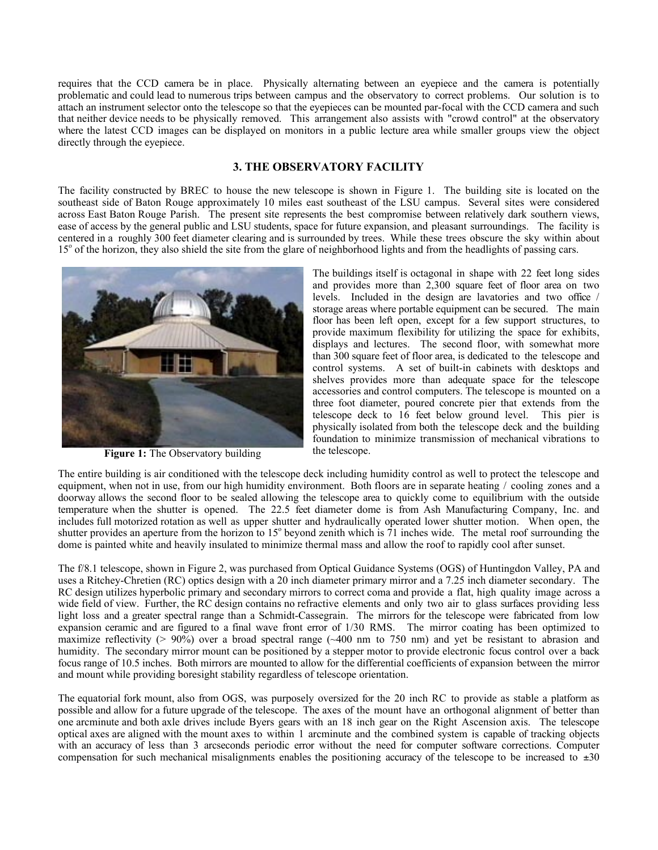requires that the CCD camera be in place. Physically alternating between an eyepiece and the camera is potentially problematic and could lead to numerous trips between campus and the observatory to correct problems. Our solution is to attach an instrument selector onto the telescope so that the eyepieces can be mounted par-focal with the CCD camera and such that neither device needs to be physically removed. This arrangement also assists with "crowd control" at the observatory where the latest CCD images can be displayed on monitors in a public lecture area while smaller groups view the object directly through the eyepiece.

# **3. THE OBSERVATORY FACILITY**

The facility constructed by BREC to house the new telescope is shown in Figure 1. The building site is located on the southeast side of Baton Rouge approximately 10 miles east southeast of the LSU campus. Several sites were considered across East Baton Rouge Parish. The present site represents the best compromise between relatively dark southern views, ease of access by the general public and LSU students, space for future expansion, and pleasant surroundings. The facility is centered in a roughly 300 feet diameter clearing and is surrounded by trees. While these trees obscure the sky within about 15° of the horizon, they also shield the site from the glare of neighborhood lights and from the headlights of passing cars.



**Figure 1:** The Observatory building

The buildings itself is octagonal in shape with 22 feet long sides and provides more than 2,300 square feet of floor area on two levels. Included in the design are lavatories and two office / storage areas where portable equipment can be secured. The main floor has been left open, except for a few support structures, to provide maximum flexibility for utilizing the space for exhibits, displays and lectures. The second floor, with somewhat more than 300 square feet of floor area, is dedicated to the telescope and control systems. A set of built-in cabinets with desktops and shelves provides more than adequate space for the telescope accessories and control computers. The telescope is mounted on a three foot diameter, poured concrete pier that extends from the telescope deck to 16 feet below ground level. This pier is physically isolated from both the telescope deck and the building foundation to minimize transmission of mechanical vibrations to the telescope.

The entire building is air conditioned with the telescope deck including humidity control as well to protect the telescope and equipment, when not in use, from our high humidity environment. Both floors are in separate heating / cooling zones and a doorway allows the second floor to be sealed allowing the telescope area to quickly come to equilibrium with the outside temperature when the shutter is opened. The 22.5 feet diameter dome is from Ash Manufacturing Company, Inc. and includes full motorized rotation as well as upper shutter and hydraulically operated lower shutter motion. When open, the shutter provides an aperture from the horizon to  $15^\circ$  beyond zenith which is 71 inches wide. The metal roof surrounding the dome is painted white and heavily insulated to minimize thermal mass and allow the roof to rapidly cool after sunset.

The f/8.1 telescope, shown in Figure 2, was purchased from Optical Guidance Systems (OGS) of Huntingdon Valley, PA and uses a Ritchey-Chretien (RC) optics design with a 20 inch diameter primary mirror and a 7.25 inch diameter secondary. The RC design utilizes hyperbolic primary and secondary mirrors to correct coma and provide a flat, high quality image across a wide field of view. Further, the RC design contains no refractive elements and only two air to glass surfaces providing less light loss and a greater spectral range than a Schmidt-Cassegrain. The mirrors for the telescope were fabricated from low expansion ceramic and are figured to a final wave front error of 1/30 RMS. The mirror coating has been optimized to maximize reflectivity ( $> 90\%$ ) over a broad spectral range ( $\sim 400$  nm to 750 nm) and yet be resistant to abrasion and humidity. The secondary mirror mount can be positioned by a stepper motor to provide electronic focus control over a back focus range of 10.5 inches. Both mirrors are mounted to allow for the differential coefficients of expansion between the mirror and mount while providing boresight stability regardless of telescope orientation.

The equatorial fork mount, also from OGS, was purposely oversized for the 20 inch RC to provide as stable a platform as possible and allow for a future upgrade of the telescope. The axes of the mount have an orthogonal alignment of better than one arcminute and both axle drives include Byers gears with an 18 inch gear on the Right Ascension axis. The telescope optical axes are aligned with the mount axes to within 1 arcminute and the combined system is capable of tracking objects with an accuracy of less than 3 arcseconds periodic error without the need for computer software corrections. Computer compensation for such mechanical misalignments enables the positioning accuracy of the telescope to be increased to  $\pm 30$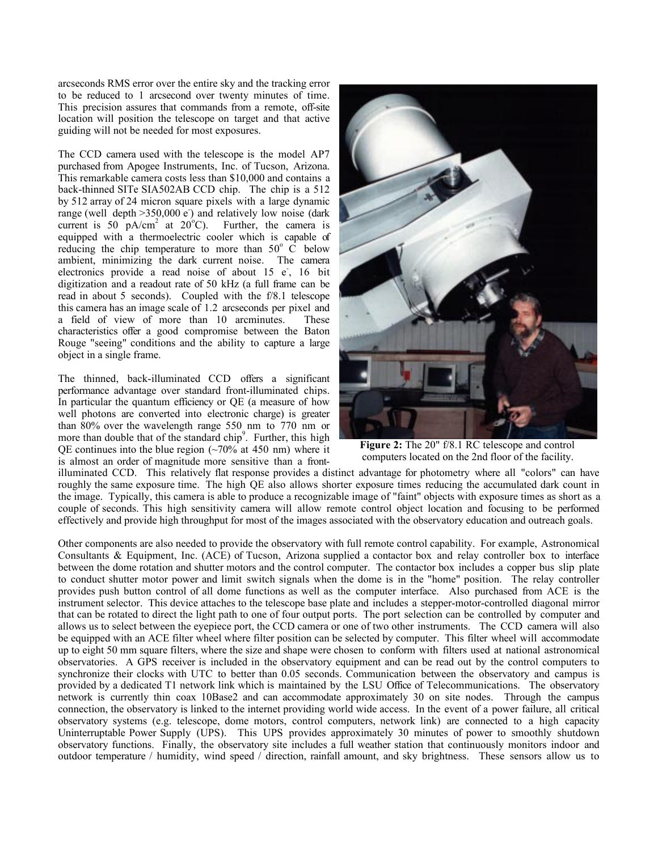arcseconds RMS error over the entire sky and the tracking error to be reduced to 1 arcsecond over twenty minutes of time. This precision assures that commands from a remote, off-site location will position the telescope on target and that active guiding will not be needed for most exposures.

The CCD camera used with the telescope is the model AP7 purchased from Apogee Instruments, Inc. of Tucson, Arizona. This remarkable camera costs less than \$10,000 and contains a back-thinned SITe SIA502AB CCD chip. The chip is a 512 by 512 array of 24 micron square pixels with a large dynamic range (well depth >350,000 e) and relatively low noise (dark current is 50  $pA/cm^2$  at 20°C). Further, the camera is equipped with a thermoelectric cooler which is capable of reducing the chip temperature to more than  $50^{\circ}$  C below ambient, minimizing the dark current noise. The camera electronics provide a read noise of about 15 e, 16 bit digitization and a readout rate of 50 kHz (a full frame can be read in about 5 seconds). Coupled with the f/8.1 telescope this camera has an image scale of 1.2 arcseconds per pixel and a field of view of more than 10 arcminutes. These characteristics offer a good compromise between the Baton Rouge "seeing" conditions and the ability to capture a large object in a single frame.

The thinned, back-illuminated CCD offers a significant performance advantage over standard front-illuminated chips. In particular the quantum efficiency or QE (a measure of how well photons are converted into electronic charge) is greater than 80% over the wavelength range 550 nm to 770 nm or more than double that of the standard chip<sup>9</sup>. Further, this high QE continues into the blue region  $\left(\frac{-70}{6}\right)$  at 450 nm) where it is almost an order of magnitude more sensitive than a front-



Figure 2: The 20" f/8.1 RC telescope and control computers located on the 2nd floor of the facility.

illuminated CCD. This relatively flat response provides a distinct advantage for photometry where all "colors" can have roughly the same exposure time. The high QE also allows shorter exposure times reducing the accumulated dark count in the image. Typically, this camera is able to produce a recognizable image of "faint" objects with exposure times as short as a couple of seconds. This high sensitivity camera will allow remote control object location and focusing to be performed effectively and provide high throughput for most of the images associated with the observatory education and outreach goals.

Other components are also needed to provide the observatory with full remote control capability. For example, Astronomical Consultants & Equipment, Inc. (ACE) of Tucson, Arizona supplied a contactor box and relay controller box to interface between the dome rotation and shutter motors and the control computer. The contactor box includes a copper bus slip plate to conduct shutter motor power and limit switch signals when the dome is in the "home" position. The relay controller provides push button control of all dome functions as well as the computer interface. Also purchased from ACE is the instrument selector. This device attaches to the telescope base plate and includes a stepper-motor-controlled diagonal mirror that can be rotated to direct the light path to one of four output ports. The port selection can be controlled by computer and allows us to select between the eyepiece port, the CCD camera or one of two other instruments. The CCD camera will also be equipped with an ACE filter wheel where filter position can be selected by computer. This filter wheel will accommodate up to eight 50 mm square filters, where the size and shape were chosen to conform with filters used at national astronomical observatories. A GPS receiver is included in the observatory equipment and can be read out by the control computers to synchronize their clocks with UTC to better than 0.05 seconds. Communication between the observatory and campus is provided by a dedicated T1 network link which is maintained by the LSU Office of Telecommunications. The observatory network is currently thin coax 10Base2 and can accommodate approximately 30 on site nodes. Through the campus connection, the observatory is linked to the internet providing world wide access. In the event of a power failure, all critical observatory systems (e.g. telescope, dome motors, control computers, network link) are connected to a high capacity Uninterruptable Power Supply (UPS). This UPS provides approximately 30 minutes of power to smoothly shutdown observatory functions. Finally, the observatory site includes a full weather station that continuously monitors indoor and outdoor temperature / humidity, wind speed / direction, rainfall amount, and sky brightness. These sensors allow us to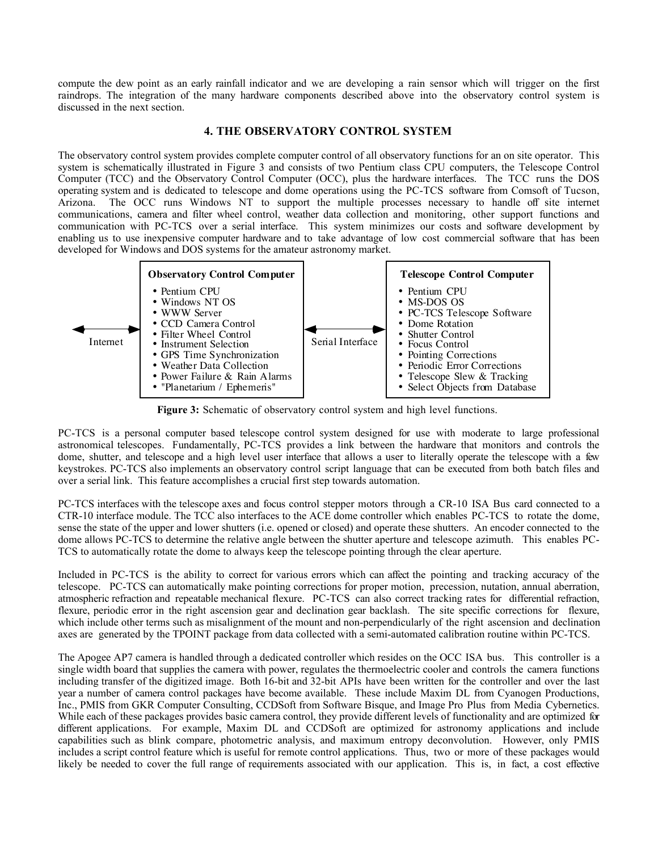compute the dew point as an early rainfall indicator and we are developing a rain sensor which will trigger on the first raindrops. The integration of the many hardware components described above into the observatory control system is discussed in the next section.

# **4. THE OBSERVATORY CONTROL SYSTEM**

The observatory control system provides complete computer control of all observatory functions for an on site operator. This system is schematically illustrated in Figure 3 and consists of two Pentium class CPU computers, the Telescope Control Computer (TCC) and the Observatory Control Computer (OCC), plus the hardware interfaces. The TCC runs the DOS operating system and is dedicated to telescope and dome operations using the PC-TCS software from Comsoft of Tucson, Arizona. The OCC runs Windows NT to support the multiple processes necessary to handle off site internet communications, camera and filter wheel control, weather data collection and monitoring, other support functions and communication with PC-TCS over a serial interface. This system minimizes our costs and software development by enabling us to use inexpensive computer hardware and to take advantage of low cost commercial software that has been developed for Windows and DOS systems for the amateur astronomy market.



**Figure 3:** Schematic of observatory control system and high level functions.

PC-TCS is a personal computer based telescope control system designed for use with moderate to large professional astronomical telescopes. Fundamentally, PC-TCS provides a link between the hardware that monitors and controls the dome, shutter, and telescope and a high level user interface that allows a user to literally operate the telescope with a few keystrokes. PC-TCS also implements an observatory control script language that can be executed from both batch files and over a serial link. This feature accomplishes a crucial first step towards automation.

PC-TCS interfaces with the telescope axes and focus control stepper motors through a CR-10 ISA Bus card connected to a CTR-10 interface module. The TCC also interfaces to the ACE dome controller which enables PC-TCS to rotate the dome, sense the state of the upper and lower shutters (i.e. opened or closed) and operate these shutters. An encoder connected to the dome allows PC-TCS to determine the relative angle between the shutter aperture and telescope azimuth. This enables PC-TCS to automatically rotate the dome to always keep the telescope pointing through the clear aperture.

Included in PC-TCS is the ability to correct for various errors which can affect the pointing and tracking accuracy of the telescope. PC-TCS can automatically make pointing corrections for proper motion, precession, nutation, annual aberration, atmospheric refraction and repeatable mechanical flexure. PC-TCS can also correct tracking rates for differential refraction, flexure, periodic error in the right ascension gear and declination gear backlash. The site specific corrections for flexure, which include other terms such as misalignment of the mount and non-perpendicularly of the right ascension and declination axes are generated by the TPOINT package from data collected with a semi-automated calibration routine within PC-TCS.

The Apogee AP7 camera is handled through a dedicated controller which resides on the OCC ISA bus. This controller is a single width board that supplies the camera with power, regulates the thermoelectric cooler and controls the camera functions including transfer of the digitized image. Both 16-bit and 32-bit APIs have been written for the controller and over the last year a number of camera control packages have become available. These include Maxim DL from Cyanogen Productions, Inc., PMIS from GKR Computer Consulting, CCDSoft from Software Bisque, and Image Pro Plus from Media Cybernetics. While each of these packages provides basic camera control, they provide different levels of functionality and are optimized for different applications. For example, Maxim DL and CCDSoft are optimized for astronomy applications and include capabilities such as blink compare, photometric analysis, and maximum entropy deconvolution. However, only PMIS includes a script control feature which is useful for remote control applications. Thus, two or more of these packages would likely be needed to cover the full range of requirements associated with our application. This is, in fact, a cost effective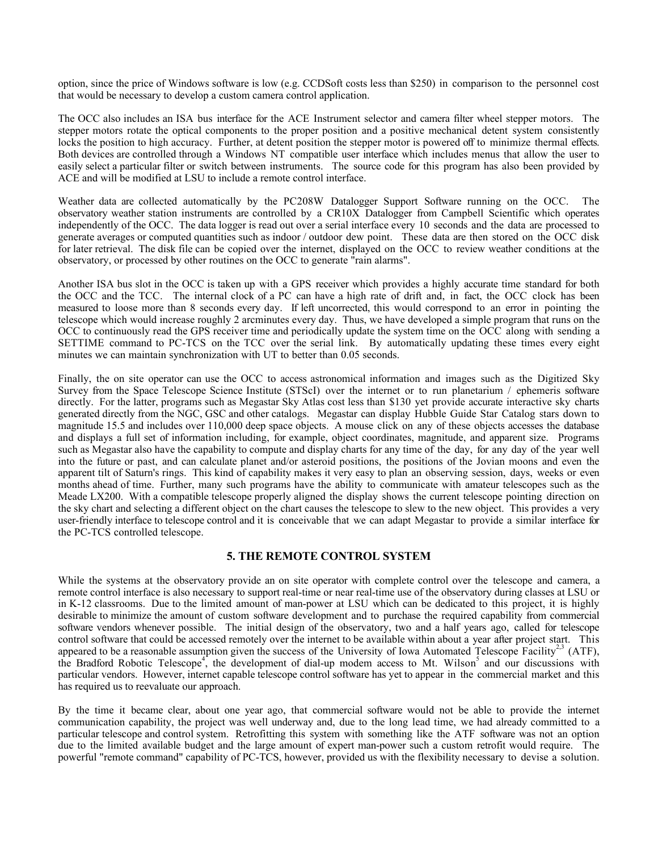option, since the price of Windows software is low (e.g. CCDSoft costs less than \$250) in comparison to the personnel cost that would be necessary to develop a custom camera control application.

The OCC also includes an ISA bus interface for the ACE Instrument selector and camera filter wheel stepper motors. The stepper motors rotate the optical components to the proper position and a positive mechanical detent system consistently locks the position to high accuracy. Further, at detent position the stepper motor is powered off to minimize thermal effects. Both devices are controlled through a Windows NT compatible user interface which includes menus that allow the user to easily select a particular filter or switch between instruments. The source code for this program has also been provided by ACE and will be modified at LSU to include a remote control interface.

Weather data are collected automatically by the PC208W Datalogger Support Software running on the OCC. The observatory weather station instruments are controlled by a CR10X Datalogger from Campbell Scientific which operates independently of the OCC. The data logger is read out over a serial interface every 10 seconds and the data are processed to generate averages or computed quantities such as indoor / outdoor dew point. These data are then stored on the OCC disk for later retrieval. The disk file can be copied over the internet, displayed on the OCC to review weather conditions at the observatory, or processed by other routines on the OCC to generate "rain alarms".

Another ISA bus slot in the OCC is taken up with a GPS receiver which provides a highly accurate time standard for both the OCC and the TCC. The internal clock of a PC can have a high rate of drift and, in fact, the OCC clock has been measured to loose more than 8 seconds every day. If left uncorrected, this would correspond to an error in pointing the telescope which would increase roughly 2 arcminutes every day. Thus, we have developed a simple program that runs on the OCC to continuously read the GPS receiver time and periodically update the system time on the OCC along with sending a SETTIME command to PC-TCS on the TCC over the serial link. By automatically updating these times every eight minutes we can maintain synchronization with UT to better than 0.05 seconds.

Finally, the on site operator can use the OCC to access astronomical information and images such as the Digitized Sky Survey from the Space Telescope Science Institute (STScI) over the internet or to run planetarium / ephemeris software directly. For the latter, programs such as Megastar Sky Atlas cost less than \$130 yet provide accurate interactive sky charts generated directly from the NGC, GSC and other catalogs. Megastar can display Hubble Guide Star Catalog stars down to magnitude 15.5 and includes over 110,000 deep space objects. A mouse click on any of these objects accesses the database and displays a full set of information including, for example, object coordinates, magnitude, and apparent size. Programs such as Megastar also have the capability to compute and display charts for any time of the day, for any day of the year well into the future or past, and can calculate planet and/or asteroid positions, the positions of the Jovian moons and even the apparent tilt of Saturn's rings. This kind of capability makes it very easy to plan an observing session, days, weeks or even months ahead of time. Further, many such programs have the ability to communicate with amateur telescopes such as the Meade LX200. With a compatible telescope properly aligned the display shows the current telescope pointing direction on the sky chart and selecting a different object on the chart causes the telescope to slew to the new object. This provides a very user-friendly interface to telescope control and it is conceivable that we can adapt Megastar to provide a similar interface for the PC-TCS controlled telescope.

# **5. THE REMOTE CONTROL SYSTEM**

While the systems at the observatory provide an on site operator with complete control over the telescope and camera, a remote control interface is also necessary to support real-time or near real-time use of the observatory during classes at LSU or in K-12 classrooms. Due to the limited amount of man-power at LSU which can be dedicated to this project, it is highly desirable to minimize the amount of custom software development and to purchase the required capability from commercial software vendors whenever possible. The initial design of the observatory, two and a half years ago, called for telescope control software that could be accessed remotely over the internet to be available within about a year after project start. This appeared to be a reasonable assumption given the success of the University of Iowa Automated Telescope Facility<sup>2,3</sup> (ATF), the Bradford Robotic Telescope<sup>4</sup>, the development of dial-up modem access to Mt. Wilson<sup>5</sup> and our discussions with particular vendors. However, internet capable telescope control software has yet to appear in the commercial market and this has required us to reevaluate our approach.

By the time it became clear, about one year ago, that commercial software would not be able to provide the internet communication capability, the project was well underway and, due to the long lead time, we had already committed to a particular telescope and control system. Retrofitting this system with something like the ATF software was not an option due to the limited available budget and the large amount of expert man-power such a custom retrofit would require. The powerful "remote command" capability of PC-TCS, however, provided us with the flexibility necessary to devise a solution.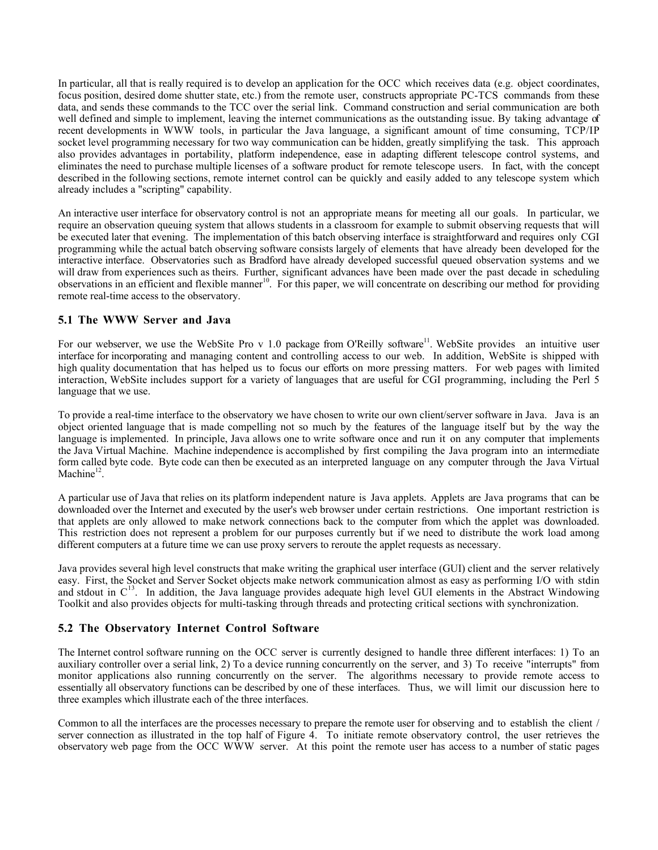In particular, all that is really required is to develop an application for the OCC which receives data (e.g. object coordinates, focus position, desired dome shutter state, etc.) from the remote user, constructs appropriate PC-TCS commands from these data, and sends these commands to the TCC over the serial link. Command construction and serial communication are both well defined and simple to implement, leaving the internet communications as the outstanding issue. By taking advantage of recent developments in WWW tools, in particular the Java language, a significant amount of time consuming, TCP/IP socket level programming necessary for two way communication can be hidden, greatly simplifying the task. This approach also provides advantages in portability, platform independence, ease in adapting different telescope control systems, and eliminates the need to purchase multiple licenses of a software product for remote telescope users. In fact, with the concept described in the following sections, remote internet control can be quickly and easily added to any telescope system which already includes a "scripting" capability.

An interactive user interface for observatory control is not an appropriate means for meeting all our goals. In particular, we require an observation queuing system that allows students in a classroom for example to submit observing requests that will be executed later that evening. The implementation of this batch observing interface is straightforward and requires only CGI programming while the actual batch observing software consists largely of elements that have already been developed for the interactive interface. Observatories such as Bradford have already developed successful queued observation systems and we will draw from experiences such as theirs. Further, significant advances have been made over the past decade in scheduling observations in an efficient and flexible manner<sup>10</sup>. For this paper, we will concentrate on describing our method for providing remote real-time access to the observatory.

# **5.1 The WWW Server and Java**

For our webserver, we use the WebSite Pro v 1.0 package from O'Reilly software<sup>11</sup>. WebSite provides an intuitive user interface for incorporating and managing content and controlling access to our web. In addition, WebSite is shipped with high quality documentation that has helped us to focus our efforts on more pressing matters. For web pages with limited interaction, WebSite includes support for a variety of languages that are useful for CGI programming, including the Perl 5 language that we use.

To provide a real-time interface to the observatory we have chosen to write our own client/server software in Java. Java is an object oriented language that is made compelling not so much by the features of the language itself but by the way the language is implemented. In principle, Java allows one to write software once and run it on any computer that implements the Java Virtual Machine. Machine independence is accomplished by first compiling the Java program into an intermediate form called byte code. Byte code can then be executed as an interpreted language on any computer through the Java Virtual Machine $12$ .

A particular use of Java that relies on its platform independent nature is Java applets. Applets are Java programs that can be downloaded over the Internet and executed by the user's web browser under certain restrictions. One important restriction is that applets are only allowed to make network connections back to the computer from which the applet was downloaded. This restriction does not represent a problem for our purposes currently but if we need to distribute the work load among different computers at a future time we can use proxy servers to reroute the applet requests as necessary.

Java provides several high level constructs that make writing the graphical user interface (GUI) client and the server relatively easy. First, the Socket and Server Socket objects make network communication almost as easy as performing I/O with stdin and stdout in  $C^{13}$ . In addition, the Java language provides adequate high level GUI elements in the Abstract Windowing Toolkit and also provides objects for multi-tasking through threads and protecting critical sections with synchronization.

# **5.2 The Observatory Internet Control Software**

The Internet control software running on the OCC server is currently designed to handle three different interfaces: 1) To an auxiliary controller over a serial link, 2) To a device running concurrently on the server, and 3) To receive "interrupts" from monitor applications also running concurrently on the server. The algorithms necessary to provide remote access to essentially all observatory functions can be described by one of these interfaces. Thus, we will limit our discussion here to three examples which illustrate each of the three interfaces.

Common to all the interfaces are the processes necessary to prepare the remote user for observing and to establish the client / server connection as illustrated in the top half of Figure 4. To initiate remote observatory control, the user retrieves the observatory web page from the OCC WWW server. At this point the remote user has access to a number of static pages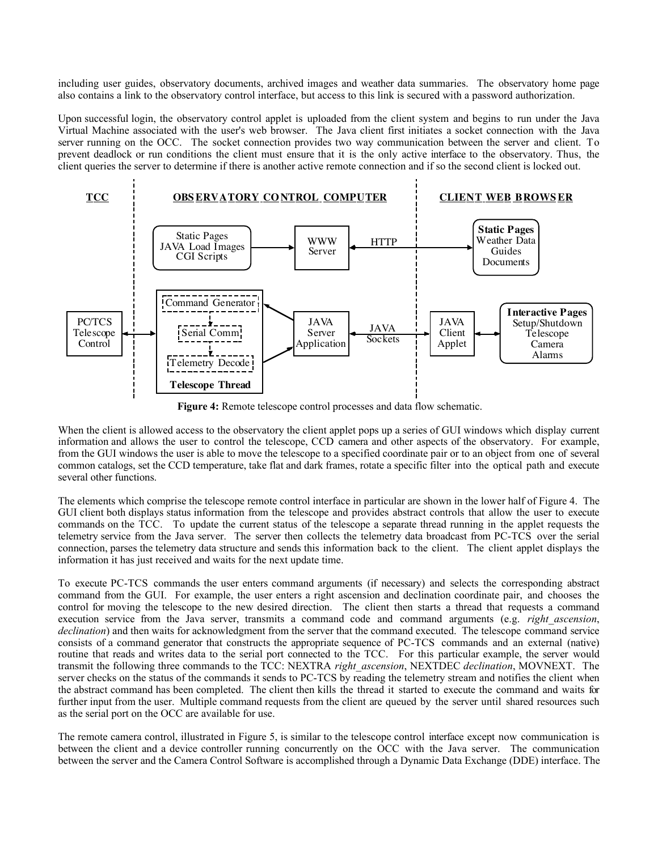including user guides, observatory documents, archived images and weather data summaries. The observatory home page also contains a link to the observatory control interface, but access to this link is secured with a password authorization.

Upon successful login, the observatory control applet is uploaded from the client system and begins to run under the Java Virtual Machine associated with the user's web browser. The Java client first initiates a socket connection with the Java server running on the OCC. The socket connection provides two way communication between the server and client. To prevent deadlock or run conditions the client must ensure that it is the only active interface to the observatory. Thus, the client queries the server to determine if there is another active remote connection and if so the second client is locked out.



**Figure 4:** Remote telescope control processes and data flow schematic.

When the client is allowed access to the observatory the client applet pops up a series of GUI windows which display current information and allows the user to control the telescope, CCD camera and other aspects of the observatory. For example, from the GUI windows the user is able to move the telescope to a specified coordinate pair or to an object from one of several common catalogs, set the CCD temperature, take flat and dark frames, rotate a specific filter into the optical path and execute several other functions.

The elements which comprise the telescope remote control interface in particular are shown in the lower half of Figure 4. The GUI client both displays status information from the telescope and provides abstract controls that allow the user to execute commands on the TCC. To update the current status of the telescope a separate thread running in the applet requests the telemetry service from the Java server. The server then collects the telemetry data broadcast from PC-TCS over the serial connection, parses the telemetry data structure and sends this information back to the client. The client applet displays the information it has just received and waits for the next update time.

To execute PC-TCS commands the user enters command arguments (if necessary) and selects the corresponding abstract command from the GUI. For example, the user enters a right ascension and declination coordinate pair, and chooses the control for moving the telescope to the new desired direction. The client then starts a thread that requests a command execution service from the Java server, transmits a command code and command arguments (e.g. *right ascension*, *declination*) and then waits for acknowledgment from the server that the command executed. The telescope command service consists of a command generator that constructs the appropriate sequence of PC-TCS commands and an external (native) routine that reads and writes data to the serial port connected to the TCC. For this particular example, the server would transmit the following three commands to the TCC: NEXTRA *right\_ascension*, NEXTDEC *declination*, MOVNEXT. The server checks on the status of the commands it sends to PC-TCS by reading the telemetry stream and notifies the client when the abstract command has been completed. The client then kills the thread it started to execute the command and waits for further input from the user. Multiple command requests from the client are queued by the server until shared resources such as the serial port on the OCC are available for use.

The remote camera control, illustrated in Figure 5, is similar to the telescope control interface except now communication is between the client and a device controller running concurrently on the OCC with the Java server. The communication between the server and the Camera Control Software is accomplished through a Dynamic Data Exchange (DDE) interface. The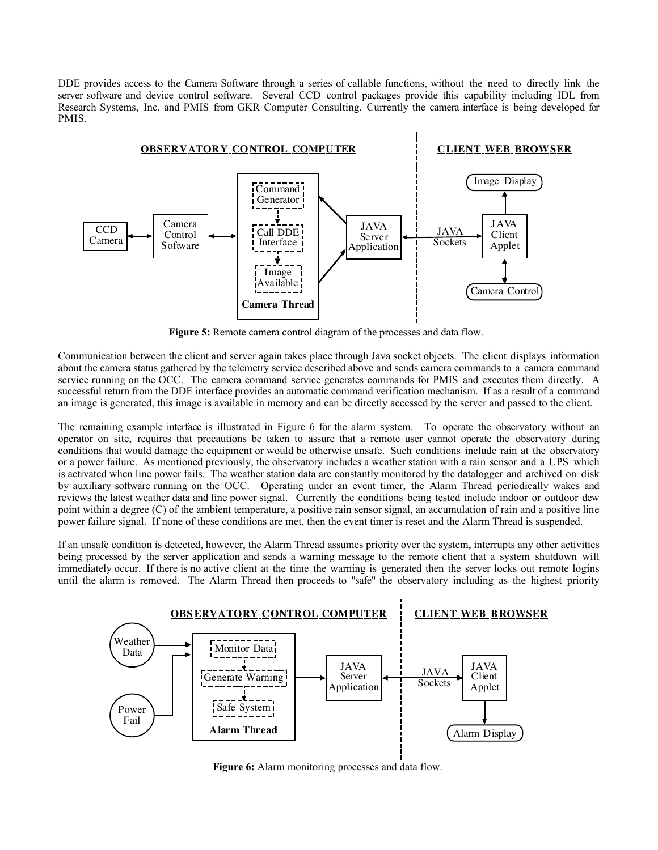DDE provides access to the Camera Software through a series of callable functions, without the need to directly link the server software and device control software. Several CCD control packages provide this capability including IDL from Research Systems, Inc. and PMIS from GKR Computer Consulting. Currently the camera interface is being developed for PMIS.



**Figure 5:** Remote camera control diagram of the processes and data flow.

Communication between the client and server again takes place through Java socket objects. The client displays information about the camera status gathered by the telemetry service described above and sends camera commands to a camera command service running on the OCC. The camera command service generates commands for PMIS and executes them directly. A successful return from the DDE interface provides an automatic command verification mechanism. If as a result of a command an image is generated, this image is available in memory and can be directly accessed by the server and passed to the client.

The remaining example interface is illustrated in Figure 6 for the alarm system. To operate the observatory without an operator on site, requires that precautions be taken to assure that a remote user cannot operate the observatory during conditions that would damage the equipment or would be otherwise unsafe. Such conditions include rain at the observatory or a power failure. As mentioned previously, the observatory includes a weather station with a rain sensor and a UPS which is activated when line power fails. The weather station data are constantly monitored by the datalogger and archived on disk by auxiliary software running on the OCC. Operating under an event timer, the Alarm Thread periodically wakes and reviews the latest weather data and line power signal. Currently the conditions being tested include indoor or outdoor dew point within a degree (C) of the ambient temperature, a positive rain sensor signal, an accumulation of rain and a positive line power failure signal. If none of these conditions are met, then the event timer is reset and the Alarm Thread is suspended.

If an unsafe condition is detected, however, the Alarm Thread assumes priority over the system, interrupts any other activities being processed by the server application and sends a warning message to the remote client that a system shutdown will immediately occur. If there is no active client at the time the warning is generated then the server locks out remote logins until the alarm is removed. The Alarm Thread then proceeds to "safe" the observatory including as the highest priority



**Figure 6:** Alarm monitoring processes and data flow.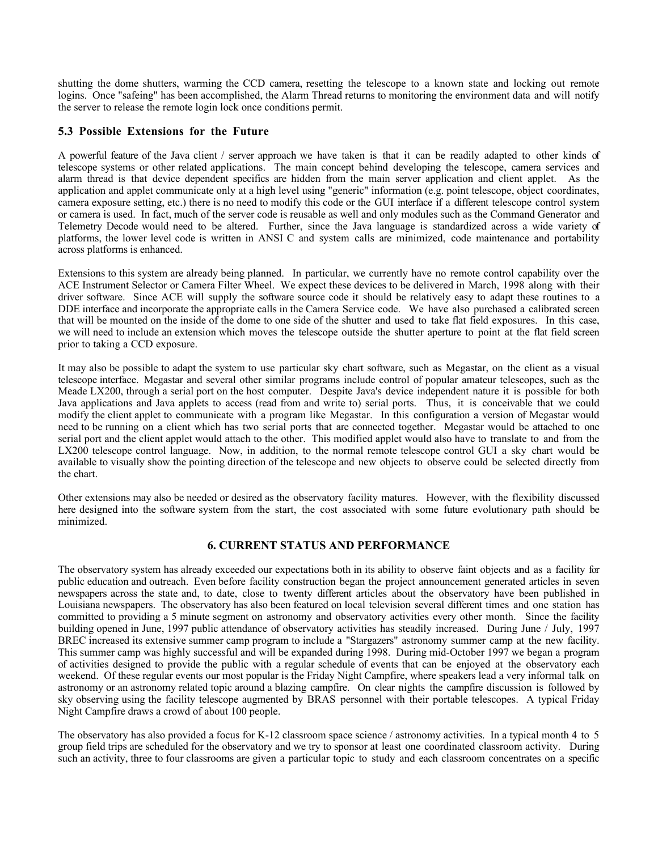shutting the dome shutters, warming the CCD camera, resetting the telescope to a known state and locking out remote logins. Once "safeing" has been accomplished, the Alarm Thread returns to monitoring the environment data and will notify the server to release the remote login lock once conditions permit.

# **5.3 Possible Extensions for the Future**

A powerful feature of the Java client / server approach we have taken is that it can be readily adapted to other kinds of telescope systems or other related applications. The main concept behind developing the telescope, camera services and alarm thread is that device dependent specifics are hidden from the main server application and client applet. As the application and applet communicate only at a high level using "generic" information (e.g. point telescope, object coordinates, camera exposure setting, etc.) there is no need to modify this code or the GUI interface if a different telescope control system or camera is used. In fact, much of the server code is reusable as well and only modules such as the Command Generator and Telemetry Decode would need to be altered. Further, since the Java language is standardized across a wide variety of platforms, the lower level code is written in ANSI C and system calls are minimized, code maintenance and portability across platforms is enhanced.

Extensions to this system are already being planned. In particular, we currently have no remote control capability over the ACE Instrument Selector or Camera Filter Wheel. We expect these devices to be delivered in March, 1998 along with their driver software. Since ACE will supply the software source code it should be relatively easy to adapt these routines to a DDE interface and incorporate the appropriate calls in the Camera Service code. We have also purchased a calibrated screen that will be mounted on the inside of the dome to one side of the shutter and used to take flat field exposures. In this case, we will need to include an extension which moves the telescope outside the shutter aperture to point at the flat field screen prior to taking a CCD exposure.

It may also be possible to adapt the system to use particular sky chart software, such as Megastar, on the client as a visual telescope interface. Megastar and several other similar programs include control of popular amateur telescopes, such as the Meade LX200, through a serial port on the host computer. Despite Java's device independent nature it is possible for both Java applications and Java applets to access (read from and write to) serial ports. Thus, it is conceivable that we could modify the client applet to communicate with a program like Megastar. In this configuration a version of Megastar would need to be running on a client which has two serial ports that are connected together. Megastar would be attached to one serial port and the client applet would attach to the other. This modified applet would also have to translate to and from the LX200 telescope control language. Now, in addition, to the normal remote telescope control GUI a sky chart would be available to visually show the pointing direction of the telescope and new objects to observe could be selected directly from the chart.

Other extensions may also be needed or desired as the observatory facility matures. However, with the flexibility discussed here designed into the software system from the start, the cost associated with some future evolutionary path should be minimized.

# **6. CURRENT STATUS AND PERFORMANCE**

The observatory system has already exceeded our expectations both in its ability to observe faint objects and as a facility for public education and outreach. Even before facility construction began the project announcement generated articles in seven newspapers across the state and, to date, close to twenty different articles about the observatory have been published in Louisiana newspapers. The observatory has also been featured on local television several different times and one station has committed to providing a 5 minute segment on astronomy and observatory activities every other month. Since the facility building opened in June, 1997 public attendance of observatory activities has steadily increased. During June / July, 1997 BREC increased its extensive summer camp program to include a "Stargazers" astronomy summer camp at the new facility. This summer camp was highly successful and will be expanded during 1998. During mid-October 1997 we began a program of activities designed to provide the public with a regular schedule of events that can be enjoyed at the observatory each weekend. Of these regular events our most popular is the Friday Night Campfire, where speakers lead a very informal talk on astronomy or an astronomy related topic around a blazing campfire. On clear nights the campfire discussion is followed by sky observing using the facility telescope augmented by BRAS personnel with their portable telescopes. A typical Friday Night Campfire draws a crowd of about 100 people.

The observatory has also provided a focus for K-12 classroom space science / astronomy activities. In a typical month 4 to 5 group field trips are scheduled for the observatory and we try to sponsor at least one coordinated classroom activity. During such an activity, three to four classrooms are given a particular topic to study and each classroom concentrates on a specific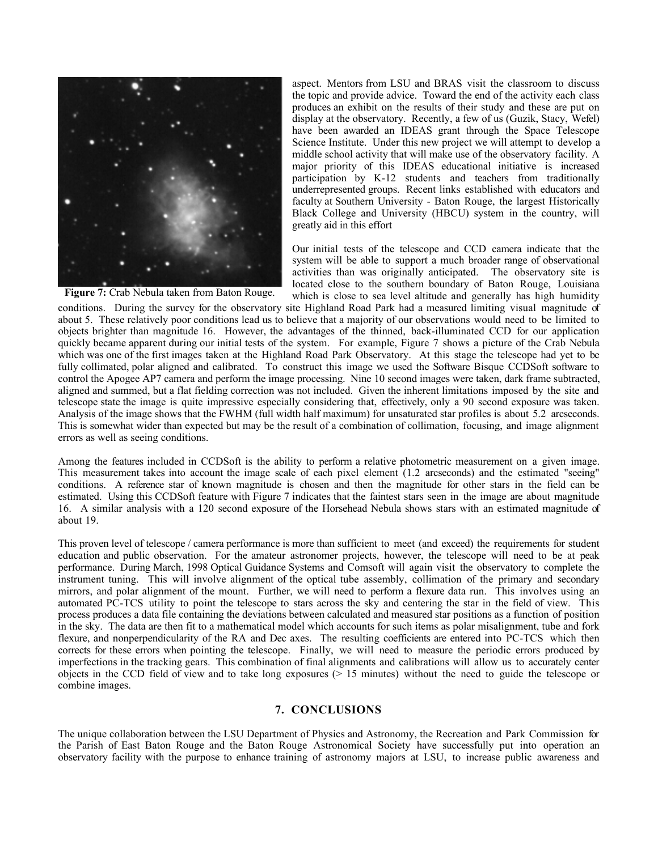

**Figure 7:** Crab Nebula taken from Baton Rouge.

aspect. Mentors from LSU and BRAS visit the classroom to discuss the topic and provide advice. Toward the end of the activity each class produces an exhibit on the results of their study and these are put on display at the observatory. Recently, a few of us (Guzik, Stacy, Wefel) have been awarded an IDEAS grant through the Space Telescope Science Institute. Under this new project we will attempt to develop a middle school activity that will make use of the observatory facility. A major priority of this IDEAS educational initiative is increased participation by K-12 students and teachers from traditionally underrepresented groups. Recent links established with educators and faculty at Southern University - Baton Rouge, the largest Historically Black College and University (HBCU) system in the country, will greatly aid in this effort

Our initial tests of the telescope and CCD camera indicate that the system will be able to support a much broader range of observational activities than was originally anticipated. The observatory site is located close to the southern boundary of Baton Rouge, Louisiana which is close to sea level altitude and generally has high humidity

conditions. During the survey for the observatory site Highland Road Park had a measured limiting visual magnitude of about 5. These relatively poor conditions lead us to believe that a majority of our observations would need to be limited to objects brighter than magnitude 16. However, the advantages of the thinned, back-illuminated CCD for our application quickly became apparent during our initial tests of the system. For example, Figure 7 shows a picture of the Crab Nebula which was one of the first images taken at the Highland Road Park Observatory. At this stage the telescope had yet to be fully collimated, polar aligned and calibrated. To construct this image we used the Software Bisque CCDSoft software to control the Apogee AP7 camera and perform the image processing. Nine 10 second images were taken, dark frame subtracted, aligned and summed, but a flat fielding correction was not included. Given the inherent limitations imposed by the site and telescope state the image is quite impressive especially considering that, effectively, only a 90 second exposure was taken. Analysis of the image shows that the FWHM (full width half maximum) for unsaturated star profiles is about 5.2 arcseconds. This is somewhat wider than expected but may be the result of a combination of collimation, focusing, and image alignment errors as well as seeing conditions.

Among the features included in CCDSoft is the ability to perform a relative photometric measurement on a given image. This measurement takes into account the image scale of each pixel element (1.2 arcseconds) and the estimated "seeing" conditions. A reference star of known magnitude is chosen and then the magnitude for other stars in the field can be estimated. Using this CCDSoft feature with Figure 7 indicates that the faintest stars seen in the image are about magnitude 16. A similar analysis with a 120 second exposure of the Horsehead Nebula shows stars with an estimated magnitude of about 19.

This proven level of telescope / camera performance is more than sufficient to meet (and exceed) the requirements for student education and public observation. For the amateur astronomer projects, however, the telescope will need to be at peak performance. During March, 1998 Optical Guidance Systems and Comsoft will again visit the observatory to complete the instrument tuning. This will involve alignment of the optical tube assembly, collimation of the primary and secondary mirrors, and polar alignment of the mount. Further, we will need to perform a flexure data run. This involves using an automated PC-TCS utility to point the telescope to stars across the sky and centering the star in the field of view. This process produces a data file containing the deviations between calculated and measured star positions as a function of position in the sky. The data are then fit to a mathematical model which accounts for such items as polar misalignment, tube and fork flexure, and nonperpendicularity of the RA and Dec axes. The resulting coefficients are entered into PC-TCS which then corrects for these errors when pointing the telescope. Finally, we will need to measure the periodic errors produced by imperfections in the tracking gears. This combination of final alignments and calibrations will allow us to accurately center objects in the CCD field of view and to take long exposures  $(> 15 \text{ minutes})$  without the need to guide the telescope or combine images.

# **7. CONCLUSIONS**

The unique collaboration between the LSU Department of Physics and Astronomy, the Recreation and Park Commission for the Parish of East Baton Rouge and the Baton Rouge Astronomical Society have successfully put into operation an observatory facility with the purpose to enhance training of astronomy majors at LSU, to increase public awareness and